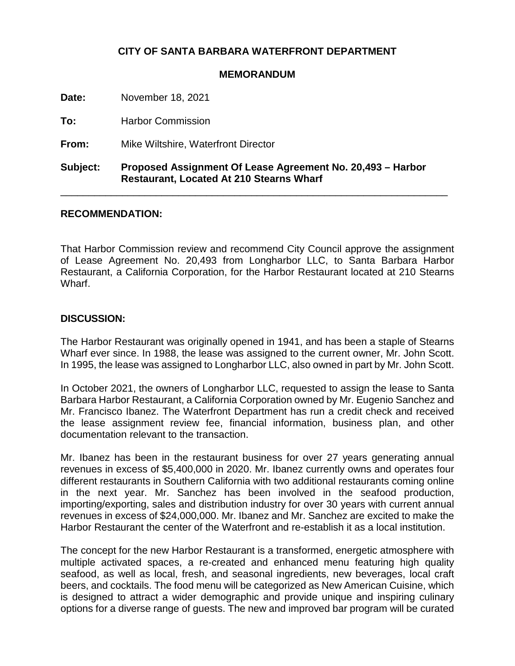## **CITY OF SANTA BARBARA WATERFRONT DEPARTMENT**

## **MEMORANDUM**

**Date:** November 18, 2021

**To:** Harbor Commission

**From:** Mike Wiltshire, Waterfront Director

**Subject: Proposed Assignment Of Lease Agreement No. 20,493 – Harbor Restaurant, Located At 210 Stearns Wharf**

\_\_\_\_\_\_\_\_\_\_\_\_\_\_\_\_\_\_\_\_\_\_\_\_\_\_\_\_\_\_\_\_\_\_\_\_\_\_\_\_\_\_\_\_\_\_\_\_\_\_\_\_\_\_\_\_\_\_\_\_\_\_\_\_\_\_\_\_\_

## **RECOMMENDATION:**

That Harbor Commission review and recommend City Council approve the assignment of Lease Agreement No. 20,493 from Longharbor LLC, to Santa Barbara Harbor Restaurant, a California Corporation, for the Harbor Restaurant located at 210 Stearns Wharf.

## **DISCUSSION:**

The Harbor Restaurant was originally opened in 1941, and has been a staple of Stearns Wharf ever since. In 1988, the lease was assigned to the current owner, Mr. John Scott. In 1995, the lease was assigned to Longharbor LLC, also owned in part by Mr. John Scott.

In October 2021, the owners of Longharbor LLC, requested to assign the lease to Santa Barbara Harbor Restaurant, a California Corporation owned by Mr. Eugenio Sanchez and Mr. Francisco Ibanez. The Waterfront Department has run a credit check and received the lease assignment review fee, financial information, business plan, and other documentation relevant to the transaction.

Mr. Ibanez has been in the restaurant business for over 27 years generating annual revenues in excess of \$5,400,000 in 2020. Mr. Ibanez currently owns and operates four different restaurants in Southern California with two additional restaurants coming online in the next year. Mr. Sanchez has been involved in the seafood production, importing/exporting, sales and distribution industry for over 30 years with current annual revenues in excess of \$24,000,000. Mr. Ibanez and Mr. Sanchez are excited to make the Harbor Restaurant the center of the Waterfront and re-establish it as a local institution.

The concept for the new Harbor Restaurant is a transformed, energetic atmosphere with multiple activated spaces, a re-created and enhanced menu featuring high quality seafood, as well as local, fresh, and seasonal ingredients, new beverages, local craft beers, and cocktails. The food menu will be categorized as New American Cuisine, which is designed to attract a wider demographic and provide unique and inspiring culinary options for a diverse range of guests. The new and improved bar program will be curated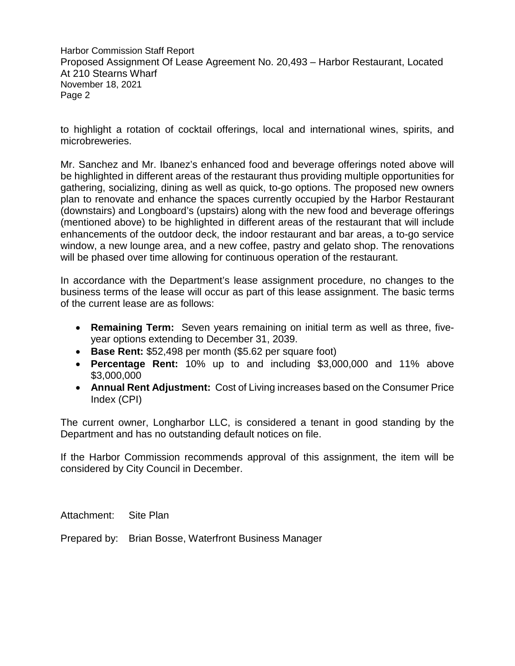Harbor Commission Staff Report Proposed Assignment Of Lease Agreement No. 20,493 – Harbor Restaurant, Located At 210 Stearns Wharf November 18, 2021 Page 2

to highlight a rotation of cocktail offerings, local and international wines, spirits, and microbreweries.

Mr. Sanchez and Mr. Ibanez's enhanced food and beverage offerings noted above will be highlighted in different areas of the restaurant thus providing multiple opportunities for gathering, socializing, dining as well as quick, to-go options. The proposed new owners plan to renovate and enhance the spaces currently occupied by the Harbor Restaurant (downstairs) and Longboard's (upstairs) along with the new food and beverage offerings (mentioned above) to be highlighted in different areas of the restaurant that will include enhancements of the outdoor deck, the indoor restaurant and bar areas, a to-go service window, a new lounge area, and a new coffee, pastry and gelato shop. The renovations will be phased over time allowing for continuous operation of the restaurant.

In accordance with the Department's lease assignment procedure, no changes to the business terms of the lease will occur as part of this lease assignment. The basic terms of the current lease are as follows:

- **Remaining Term:** Seven years remaining on initial term as well as three, fiveyear options extending to December 31, 2039.
- **Base Rent:** \$52,498 per month (\$5.62 per square foot)
- **Percentage Rent:** 10% up to and including \$3,000,000 and 11% above \$3,000,000
- **Annual Rent Adjustment:** Cost of Living increases based on the Consumer Price Index (CPI)

The current owner, Longharbor LLC, is considered a tenant in good standing by the Department and has no outstanding default notices on file.

If the Harbor Commission recommends approval of this assignment, the item will be considered by City Council in December.

Attachment: Site Plan

Prepared by: Brian Bosse, Waterfront Business Manager